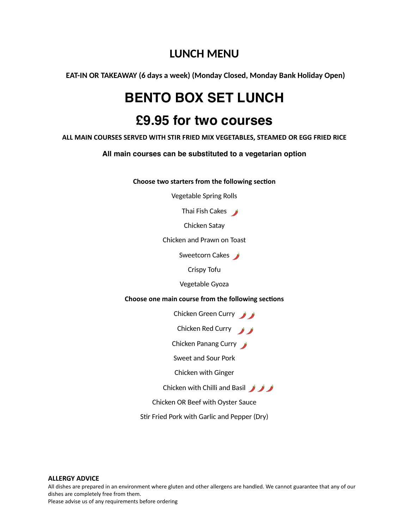### **LUNCH MENU**

**EAT-IN OR TAKEAWAY (6 days a week) (Monday Closed, Monday Bank Holiday Open)**

# **BENTO BOX SET LUNCH**

## **£9.95 for two courses**

**ALL MAIN COURSES SERVED WITH STIR FRIED MIX VEGETABLES, STEAMED OR EGG FRIED RICE** 

**All main courses can be substituted to a vegetarian option**

**Choose two starters from the following section** 

Vegetable Spring Rolls

Thai Fish Cakes

Chicken Satay

Chicken and Prawn on Toast

Sweetcorn Cakes

Crispy Tofu

Vegetable Gyoza

**Choose one main course from the following sections** 

Chicken Green Curry

Chicken Red Curry

Chicken Panang Curry

Sweet and Sour Pork

Chicken with Ginger

Chicken with Chilli and Basil **Algebra** 

Chicken OR Beef with Oyster Sauce

Stir Fried Pork with Garlic and Pepper (Dry)

### **ALLERGY ADVICE**

All dishes are prepared in an environment where gluten and other allergens are handled. We cannot guarantee that any of our dishes are completely free from them. Please advise us of any requirements before ordering